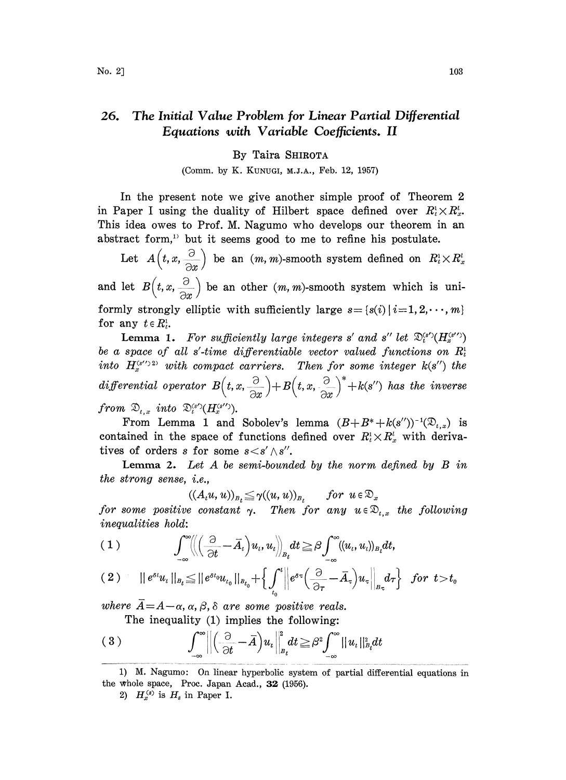## 26. The Initial Value Problem for Linear Partial Differential Equations with Variable Coefficients. II

## By Taira SHIROTA

(Comm. by K. KUNUGI, M.J.A., Feb. 12, 1957)

In the present note we give another simple proof of Theorem 2 in Paper I using the duality of Hilbert space defined over  $R_t^1 \times R_x^1$ . This idea owes to Prof. M. Nagumo who develops our theorem in an abstract form,<sup>1)</sup> but it seems good to me to refine his postulate.

Let  $A\left(t,x,\frac{\partial}{\partial x}\right)$  be an  $(m, m)$ -smooth system defined on  $R_t^1\times R_x^1$ and let  $B\left( t, x, \frac{\partial}{\partial x} \right)$  be an other  $(m, m)$ -smooth system which is uniformly strongly elliptic with sufficiently large  $s=[s(i)]$   $i=1, 2, \dots, m$ } for any  $t \in R_t^1$ .

**Lemma 1.** For sufficiently large integers s' and s'' let  $\mathfrak{D}_{t}^{(s')}(H_{s}^{(s'')})$ be a space of all s'-time differentiable vector valued functions on  $R_t$ into  $H_*^{(s'')2}$  with compact carriers. Then for some integer  $k(s'')$  the differential operator  $B(t, x, \frac{\partial}{\partial x}) + B(t, x, \frac{\partial}{\partial x})^*$ from  $\mathfrak{D}_{t,x}$  into  $\mathfrak{D}_{t}^{(s')}$  $(H_{x}^{(s'')})$ .

From Lemma 1 and Sobolev's lemma  $(B+B^*+k(s'))^{-1}(\mathfrak{D}_{t,x})$  is contained in the space of functions defined over  $R_t^1 \times R_x^l$  with derivatives of orders s for some  $s < s' \wedge s''$ .

**Lemma 2.** Let  $A$  be semi-bounded by the norm defined by  $B$  in the strong sense, i.e.,

 $((A_t u, u))_{B_t} \leq \gamma((u, u))_{B_t}$  for  $u \in \mathfrak{D}_x$ 

for some positive constant  $\gamma$ . Then for any  $u \in \mathfrak{D}_{t,x}$  the following inequalities hold:

$$
(2) \quad ||e^{\delta t}u_t||_{B_t}\leq ||e^{\delta t_0}u_{t_0}||_{B_{t_0}}+\Big\{\int_{t_0}^t \Big\|e^{\delta \tau}\Big(\frac{\partial}{\partial \tau}-\bar{A}_{\tau}\Big)u_{\tau}\Big\|_{B_{\tau}}d\tau\Big\}\quad \textit{for}\ \ t\!>\!t_0
$$

where  $\overline{A} = A - \alpha$ ,  $\alpha$ ,  $\beta$ ,  $\delta$  are some positive reals. The inequality (1) implies the following:

$$
(3) \qquad \int_{-\infty}^{\infty} \left\| \left( \frac{\partial}{\partial t} - \overline{A} \right) u_t \right\|_{B_t}^2 dt \geq \beta^2 \int_{-\infty}^{\infty} ||u_t||_{B_t}^2 dt
$$

2)  $H_x^{(s)}$  is  $H_s$  in Paper I.

<sup>1)</sup> M. Nagumo: 0n linear hyperbolic system of partial differential equations in the whole space, Proc. Japan Acad., 32 (1956).